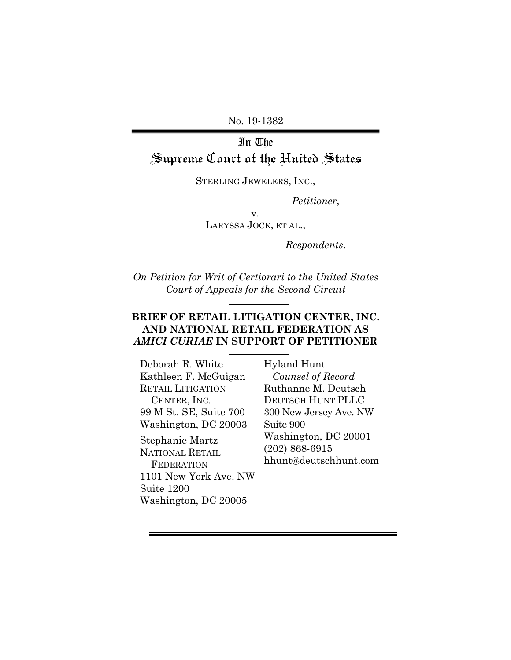No. 19-1382

# In The Supreme Court of the United States

STERLING JEWELERS, INC.,

*Petitioner*,

v.

LARYSSA JOCK, ET AL.,

*Respondents*.

*On Petition for Writ of Certiorari to the United States Court of Appeals for the Second Circuit* 

### **BRIEF OF RETAIL LITIGATION CENTER, INC. AND NATIONAL RETAIL FEDERATION AS**  *AMICI CURIAE* **IN SUPPORT OF PETITIONER**

Deborah R. White Kathleen F. McGuigan RETAIL LITIGATION CENTER, INC. 99 M St. SE, Suite 700 Washington, DC 20003 Stephanie Martz

NATIONAL RETAIL **FEDERATION** 1101 New York Ave. NW Suite 1200 Washington, DC 20005

Hyland Hunt  *Counsel of Record*  Ruthanne M. Deutsch DEUTSCH HUNT PLLC 300 New Jersey Ave. NW Suite 900 Washington, DC 20001 (202) 868-6915 hhunt@deutschhunt.com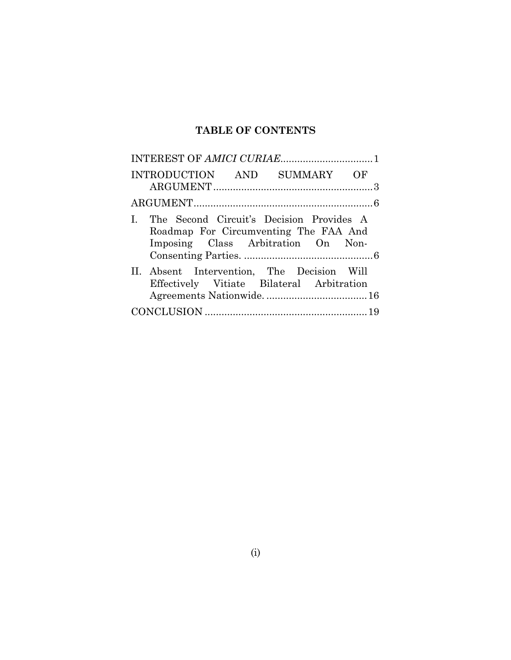# **TABLE OF CONTENTS**

| INTRODUCTION AND SUMMARY OF                                                                                                |  |  |  |
|----------------------------------------------------------------------------------------------------------------------------|--|--|--|
|                                                                                                                            |  |  |  |
| I. The Second Circuit's Decision Provides A<br>Roadmap For Circumventing The FAA And<br>Imposing Class Arbitration On Non- |  |  |  |
| II. Absent Intervention, The Decision Will<br>Effectively Vitiate Bilateral Arbitration                                    |  |  |  |
|                                                                                                                            |  |  |  |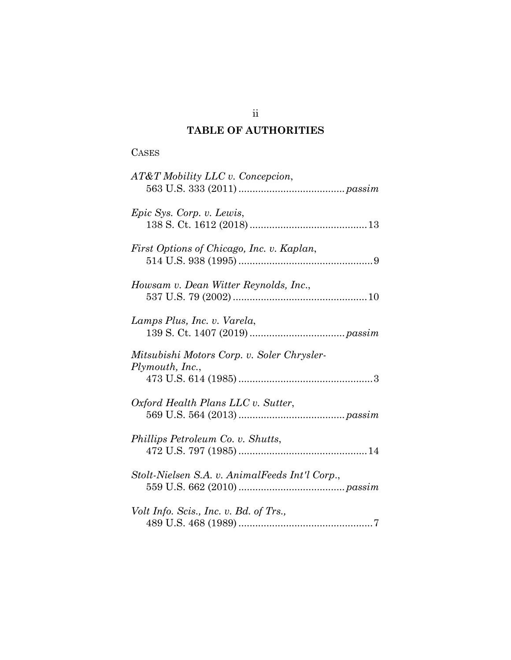## **TABLE OF AUTHORITIES**

| г<br>C.<br>Аогл |
|-----------------|
|-----------------|

| AT&T Mobility LLC v. Concepcion,                              |
|---------------------------------------------------------------|
| Epic Sys. Corp. v. Lewis,                                     |
| First Options of Chicago, Inc. v. Kaplan,                     |
| Howsam v. Dean Witter Reynolds, Inc.,                         |
| Lamps Plus, Inc. v. Varela,                                   |
| Mitsubishi Motors Corp. v. Soler Chrysler-<br>Plymouth, Inc., |
| Oxford Health Plans LLC v. Sutter,                            |
| Phillips Petroleum Co. v. Shutts,                             |
| Stolt-Nielsen S.A. v. AnimalFeeds Int'l Corp.,                |
| Volt Info. Scis., Inc. v. Bd. of Trs.,                        |

ii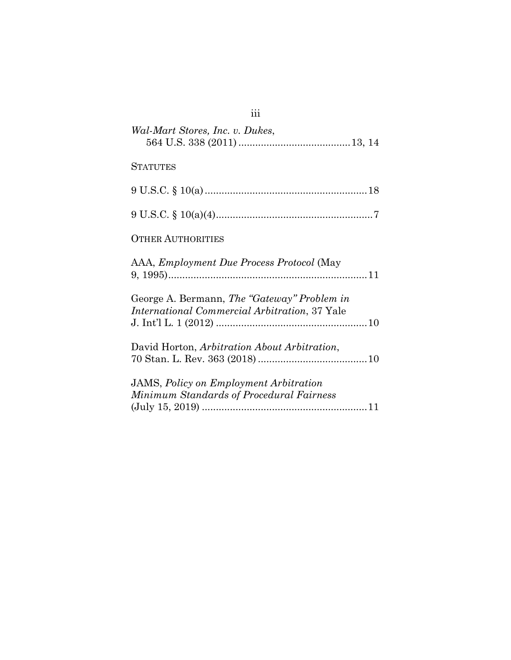| Wal-Mart Stores, Inc. v. Dukes,                                                                     |
|-----------------------------------------------------------------------------------------------------|
| <b>STATUTES</b>                                                                                     |
|                                                                                                     |
|                                                                                                     |
| <b>OTHER AUTHORITIES</b>                                                                            |
| AAA, Employment Due Process Protocol (May                                                           |
| George A. Bermann, The "Gateway" Problem in<br><i>International Commercial Arbitration, 37 Yale</i> |
| David Horton, Arbitration About Arbitration,                                                        |
| <b>JAMS</b> , Policy on Employment Arbitration<br>Minimum Standards of Procedural Fairness          |
|                                                                                                     |

# iii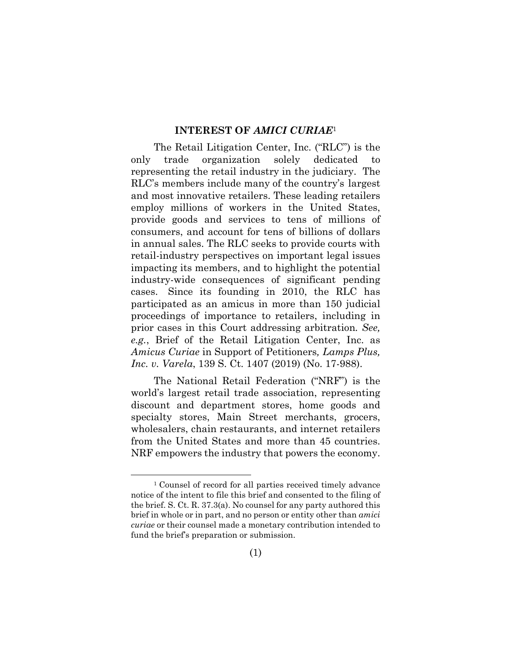#### **INTEREST OF** *AMICI CURIAE*<sup>1</sup>

The Retail Litigation Center, Inc. ("RLC") is the only trade organization solely dedicated to representing the retail industry in the judiciary. The RLC's members include many of the country's largest and most innovative retailers. These leading retailers employ millions of workers in the United States, provide goods and services to tens of millions of consumers, and account for tens of billions of dollars in annual sales. The RLC seeks to provide courts with retail-industry perspectives on important legal issues impacting its members, and to highlight the potential industry-wide consequences of significant pending cases. Since its founding in 2010, the RLC has participated as an amicus in more than 150 judicial proceedings of importance to retailers, including in prior cases in this Court addressing arbitration*. See, e.g.*, Brief of the Retail Litigation Center, Inc. as *Amicus Curiae* in Support of Petitioners*, Lamps Plus, Inc. v. Varela*, 139 S. Ct. 1407 (2019) (No. 17-988).

The National Retail Federation ("NRF") is the world's largest retail trade association, representing discount and department stores, home goods and specialty stores, Main Street merchants, grocers, wholesalers, chain restaurants, and internet retailers from the United States and more than 45 countries. NRF empowers the industry that powers the economy.

<sup>1</sup> Counsel of record for all parties received timely advance notice of the intent to file this brief and consented to the filing of the brief. S. Ct. R. 37.3(a). No counsel for any party authored this brief in whole or in part, and no person or entity other than *amici curiae* or their counsel made a monetary contribution intended to fund the brief's preparation or submission.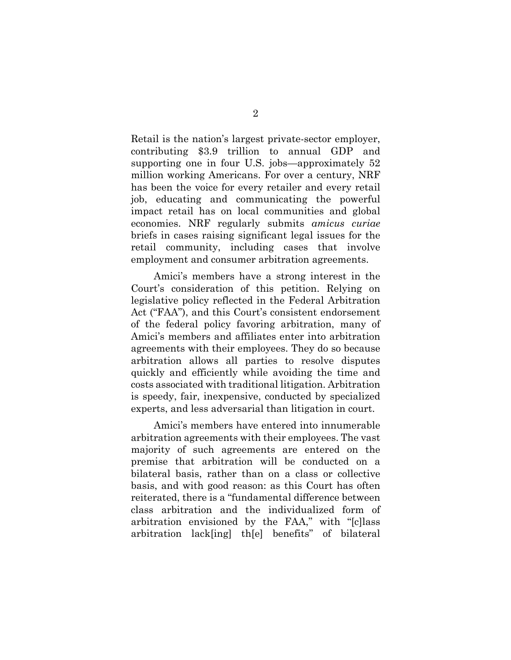Retail is the nation's largest private-sector employer, contributing \$3.9 trillion to annual GDP and supporting one in four U.S. jobs—approximately 52 million working Americans. For over a century, NRF has been the voice for every retailer and every retail job, educating and communicating the powerful impact retail has on local communities and global economies. NRF regularly submits *amicus curiae* briefs in cases raising significant legal issues for the retail community, including cases that involve employment and consumer arbitration agreements.

Amici's members have a strong interest in the Court's consideration of this petition. Relying on legislative policy reflected in the Federal Arbitration Act ("FAA"), and this Court's consistent endorsement of the federal policy favoring arbitration, many of Amici's members and affiliates enter into arbitration agreements with their employees. They do so because arbitration allows all parties to resolve disputes quickly and efficiently while avoiding the time and costs associated with traditional litigation. Arbitration is speedy, fair, inexpensive, conducted by specialized experts, and less adversarial than litigation in court.

Amici's members have entered into innumerable arbitration agreements with their employees. The vast majority of such agreements are entered on the premise that arbitration will be conducted on a bilateral basis, rather than on a class or collective basis, and with good reason: as this Court has often reiterated, there is a "fundamental difference between class arbitration and the individualized form of arbitration envisioned by the FAA," with "[c]lass arbitration lack[ing] th[e] benefits" of bilateral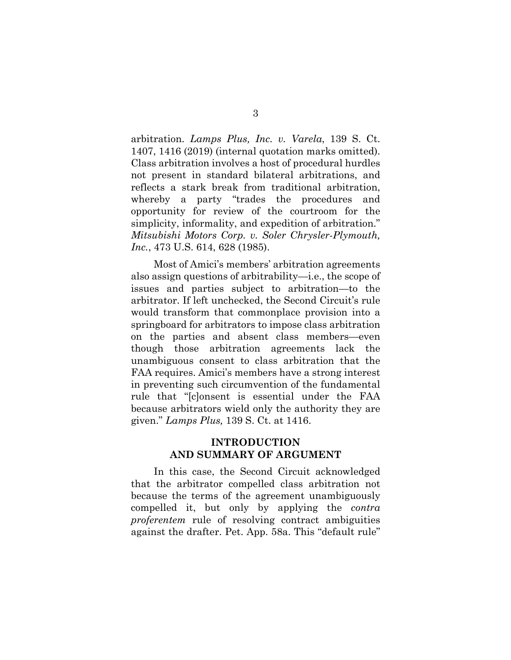arbitration. *Lamps Plus, Inc. v. Varela*, 139 S. Ct. 1407, 1416 (2019) (internal quotation marks omitted). Class arbitration involves a host of procedural hurdles not present in standard bilateral arbitrations, and reflects a stark break from traditional arbitration, whereby a party "trades the procedures and opportunity for review of the courtroom for the simplicity, informality, and expedition of arbitration." *Mitsubishi Motors Corp. v. Soler Chrysler-Plymouth, Inc.*, 473 U.S. 614, 628 (1985).

Most of Amici's members' arbitration agreements also assign questions of arbitrability—i.e., the scope of issues and parties subject to arbitration—to the arbitrator. If left unchecked, the Second Circuit's rule would transform that commonplace provision into a springboard for arbitrators to impose class arbitration on the parties and absent class members—even though those arbitration agreements lack the unambiguous consent to class arbitration that the FAA requires. Amici's members have a strong interest in preventing such circumvention of the fundamental rule that "[c]onsent is essential under the FAA because arbitrators wield only the authority they are given." *Lamps Plus,* 139 S. Ct. at 1416.

#### **INTRODUCTION AND SUMMARY OF ARGUMENT**

In this case, the Second Circuit acknowledged that the arbitrator compelled class arbitration not because the terms of the agreement unambiguously compelled it, but only by applying the *contra proferentem* rule of resolving contract ambiguities against the drafter. Pet. App. 58a. This "default rule"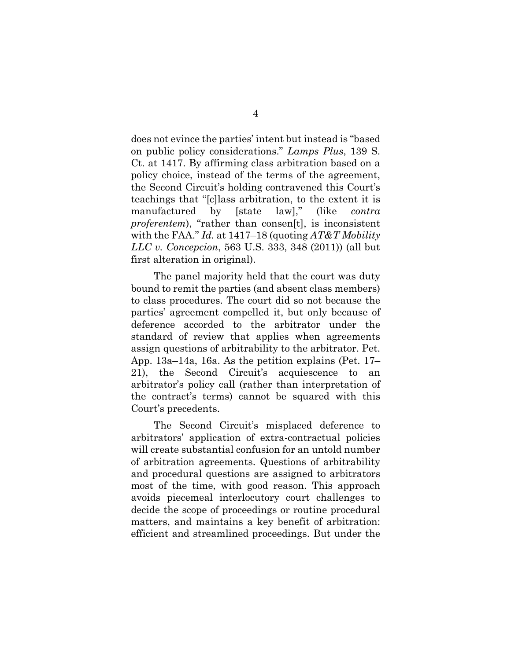does not evince the parties' intent but instead is "based on public policy considerations." *Lamps Plus*, 139 S. Ct. at 1417. By affirming class arbitration based on a policy choice, instead of the terms of the agreement, the Second Circuit's holding contravened this Court's teachings that "[c]lass arbitration, to the extent it is manufactured by [state law]," (like *contra proferentem*), "rather than consen[t], is inconsistent with the FAA." *Id.* at 1417–18 (quoting *AT&T Mobility LLC v. Concepcion*, 563 U.S. 333, 348 (2011)) (all but first alteration in original).

The panel majority held that the court was duty bound to remit the parties (and absent class members) to class procedures. The court did so not because the parties' agreement compelled it, but only because of deference accorded to the arbitrator under the standard of review that applies when agreements assign questions of arbitrability to the arbitrator. Pet. App. 13a–14a, 16a. As the petition explains (Pet. 17– 21), the Second Circuit's acquiescence to an arbitrator's policy call (rather than interpretation of the contract's terms) cannot be squared with this Court's precedents.

The Second Circuit's misplaced deference to arbitrators' application of extra-contractual policies will create substantial confusion for an untold number of arbitration agreements. Questions of arbitrability and procedural questions are assigned to arbitrators most of the time, with good reason. This approach avoids piecemeal interlocutory court challenges to decide the scope of proceedings or routine procedural matters, and maintains a key benefit of arbitration: efficient and streamlined proceedings. But under the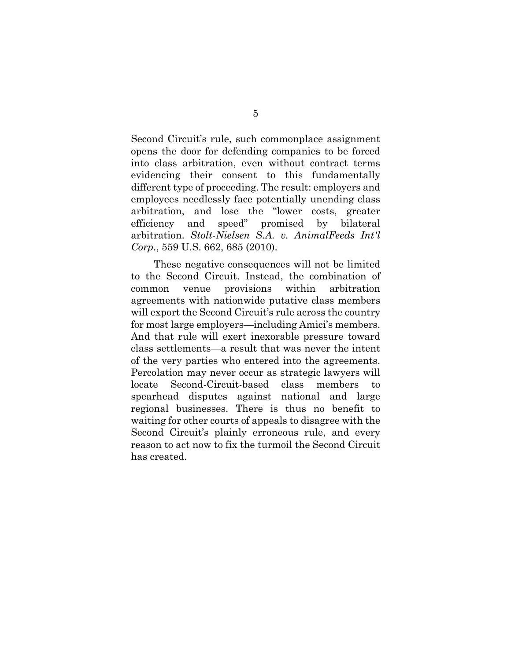Second Circuit's rule, such commonplace assignment opens the door for defending companies to be forced into class arbitration, even without contract terms evidencing their consent to this fundamentally different type of proceeding. The result: employers and employees needlessly face potentially unending class arbitration, and lose the "lower costs, greater efficiency and speed" promised by bilateral arbitration. *Stolt-Nielsen S.A. v. AnimalFeeds Int'l Corp*., 559 U.S. 662, 685 (2010).

These negative consequences will not be limited to the Second Circuit. Instead, the combination of common venue provisions within arbitration agreements with nationwide putative class members will export the Second Circuit's rule across the country for most large employers—including Amici's members. And that rule will exert inexorable pressure toward class settlements—a result that was never the intent of the very parties who entered into the agreements. Percolation may never occur as strategic lawyers will locate Second-Circuit-based class members to spearhead disputes against national and large regional businesses. There is thus no benefit to waiting for other courts of appeals to disagree with the Second Circuit's plainly erroneous rule, and every reason to act now to fix the turmoil the Second Circuit has created.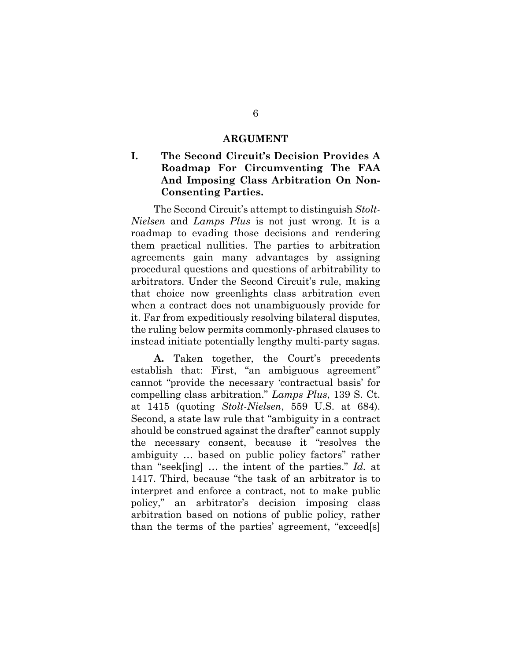#### **ARGUMENT**

## **I. The Second Circuit's Decision Provides A Roadmap For Circumventing The FAA And Imposing Class Arbitration On Non-Consenting Parties.**

The Second Circuit's attempt to distinguish *Stolt-Nielsen* and *Lamps Plus* is not just wrong. It is a roadmap to evading those decisions and rendering them practical nullities. The parties to arbitration agreements gain many advantages by assigning procedural questions and questions of arbitrability to arbitrators. Under the Second Circuit's rule, making that choice now greenlights class arbitration even when a contract does not unambiguously provide for it. Far from expeditiously resolving bilateral disputes, the ruling below permits commonly-phrased clauses to instead initiate potentially lengthy multi-party sagas.

**A.** Taken together, the Court's precedents establish that: First, "an ambiguous agreement" cannot "provide the necessary 'contractual basis' for compelling class arbitration." *Lamps Plus*, 139 S. Ct. at 1415 (quoting *Stolt-Nielsen*, 559 U.S. at 684). Second, a state law rule that "ambiguity in a contract should be construed against the drafter" cannot supply the necessary consent, because it "resolves the ambiguity … based on public policy factors" rather than "seek[ing] … the intent of the parties." *Id.* at 1417. Third, because "the task of an arbitrator is to interpret and enforce a contract, not to make public policy," an arbitrator's decision imposing class arbitration based on notions of public policy, rather than the terms of the parties' agreement, "exceed[s]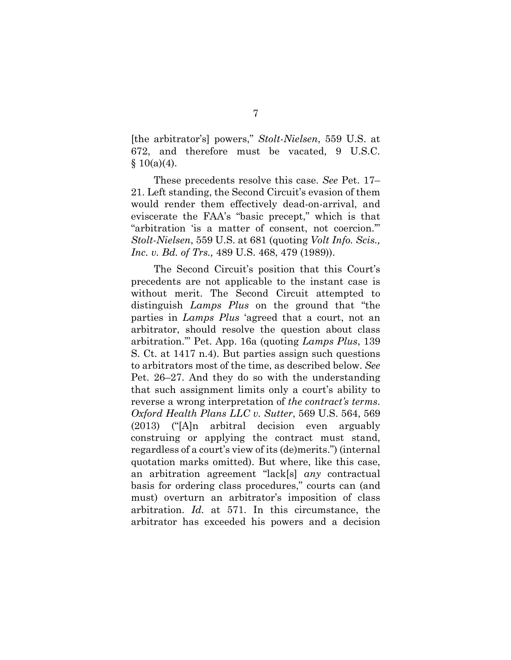[the arbitrator's] powers," *Stolt-Nielsen*, 559 U.S. at 672, and therefore must be vacated, 9 U.S.C.  $§ 10(a)(4).$ 

These precedents resolve this case. *See* Pet. 17– 21. Left standing, the Second Circuit's evasion of them would render them effectively dead-on-arrival, and eviscerate the FAA's "basic precept," which is that "arbitration 'is a matter of consent, not coercion.'" *Stolt-Nielsen*, 559 U.S. at 681 (quoting *Volt Info. Scis., Inc. v. Bd. of Trs.,* 489 U.S. 468, 479 (1989)).

The Second Circuit's position that this Court's precedents are not applicable to the instant case is without merit. The Second Circuit attempted to distinguish *Lamps Plus* on the ground that "the parties in *Lamps Plus* 'agreed that a court, not an arbitrator, should resolve the question about class arbitration.'" Pet. App. 16a (quoting *Lamps Plus*, 139 S. Ct. at 1417 n.4). But parties assign such questions to arbitrators most of the time, as described below. *See*  Pet. 26–27. And they do so with the understanding that such assignment limits only a court's ability to reverse a wrong interpretation of *the contract's terms*. *Oxford Health Plans LLC v. Sutter*, 569 U.S. 564, 569 (2013) ("[A]n arbitral decision even arguably construing or applying the contract must stand, regardless of a court's view of its (de)merits.") (internal quotation marks omitted). But where, like this case, an arbitration agreement "lack[s] *any* contractual basis for ordering class procedures," courts can (and must) overturn an arbitrator's imposition of class arbitration. *Id.* at 571. In this circumstance, the arbitrator has exceeded his powers and a decision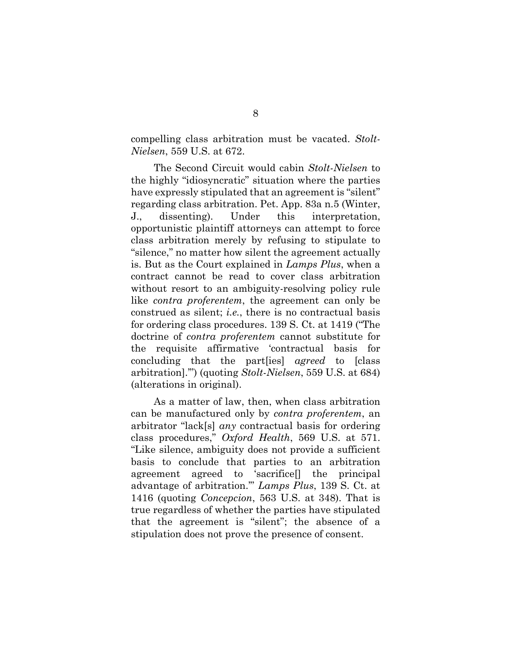compelling class arbitration must be vacated. *Stolt-Nielsen*, 559 U.S. at 672.

The Second Circuit would cabin *Stolt-Nielsen* to the highly "idiosyncratic" situation where the parties have expressly stipulated that an agreement is "silent" regarding class arbitration. Pet. App. 83a n.5 (Winter, J., dissenting). Under this interpretation, opportunistic plaintiff attorneys can attempt to force class arbitration merely by refusing to stipulate to "silence," no matter how silent the agreement actually is. But as the Court explained in *Lamps Plus*, when a contract cannot be read to cover class arbitration without resort to an ambiguity-resolving policy rule like *contra proferentem*, the agreement can only be construed as silent; *i.e.*, there is no contractual basis for ordering class procedures. 139 S. Ct. at 1419 ("The doctrine of *contra proferentem* cannot substitute for the requisite affirmative 'contractual basis for concluding that the part[ies] *agreed* to [class arbitration].'") (quoting *Stolt-Nielsen*, 559 U.S. at 684) (alterations in original).

As a matter of law, then, when class arbitration can be manufactured only by *contra proferentem*, an arbitrator "lack[s] *any* contractual basis for ordering class procedures," *Oxford Health*, 569 U.S. at 571. "Like silence, ambiguity does not provide a sufficient basis to conclude that parties to an arbitration agreement agreed to 'sacrifice[] the principal advantage of arbitration.'" *Lamps Plus*, 139 S. Ct. at 1416 (quoting *Concepcion*, 563 U.S. at 348). That is true regardless of whether the parties have stipulated that the agreement is "silent"; the absence of a stipulation does not prove the presence of consent.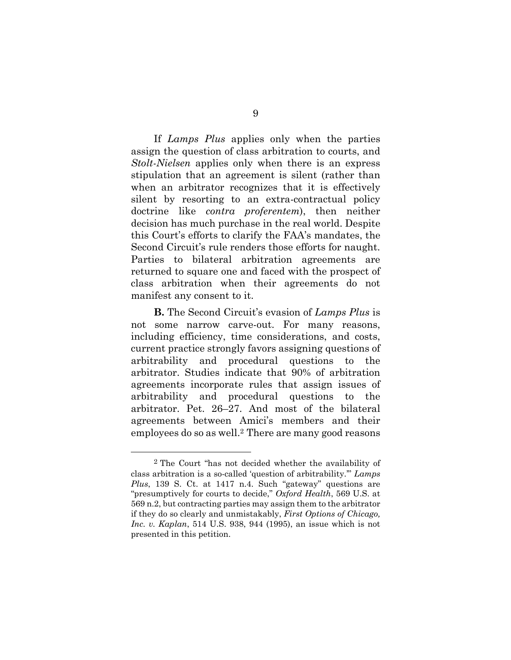If *Lamps Plus* applies only when the parties assign the question of class arbitration to courts, and *Stolt-Nielsen* applies only when there is an express stipulation that an agreement is silent (rather than when an arbitrator recognizes that it is effectively silent by resorting to an extra-contractual policy doctrine like *contra proferentem*), then neither decision has much purchase in the real world. Despite this Court's efforts to clarify the FAA's mandates, the Second Circuit's rule renders those efforts for naught. Parties to bilateral arbitration agreements are returned to square one and faced with the prospect of class arbitration when their agreements do not manifest any consent to it.

**B.** The Second Circuit's evasion of *Lamps Plus* is not some narrow carve-out. For many reasons, including efficiency, time considerations, and costs, current practice strongly favors assigning questions of arbitrability and procedural questions to the arbitrator. Studies indicate that 90% of arbitration agreements incorporate rules that assign issues of arbitrability and procedural questions to the arbitrator. Pet. 26–27. And most of the bilateral agreements between Amici's members and their employees do so as well.2 There are many good reasons

<sup>2</sup> The Court "has not decided whether the availability of class arbitration is a so-called 'question of arbitrability.'" *Lamps Plus*, 139 S. Ct. at 1417 n.4. Such "gateway" questions are "presumptively for courts to decide," *Oxford Health*, 569 U.S. at 569 n.2, but contracting parties may assign them to the arbitrator if they do so clearly and unmistakably, *First Options of Chicago, Inc. v. Kaplan*, 514 U.S. 938, 944 (1995), an issue which is not presented in this petition.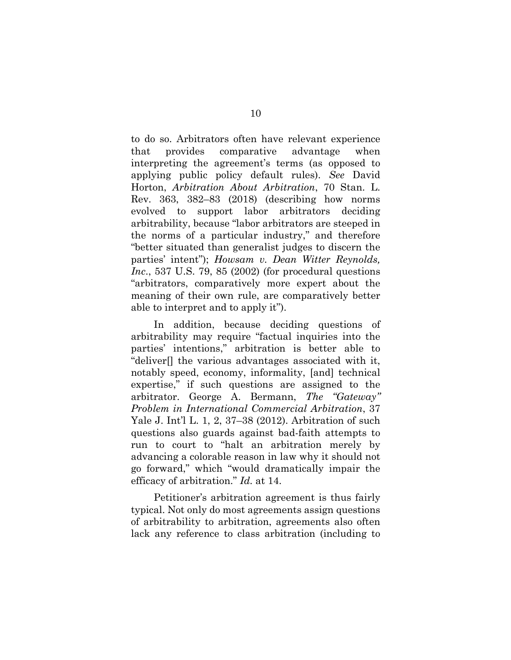to do so. Arbitrators often have relevant experience that provides comparative advantage when interpreting the agreement's terms (as opposed to applying public policy default rules). *See* David Horton, *Arbitration About Arbitration*, 70 Stan. L. Rev. 363, 382–83 (2018) (describing how norms evolved to support labor arbitrators deciding arbitrability, because "labor arbitrators are steeped in the norms of a particular industry," and therefore "better situated than generalist judges to discern the parties' intent"); *Howsam v. Dean Witter Reynolds, Inc*., 537 U.S. 79, 85 (2002) (for procedural questions "arbitrators, comparatively more expert about the meaning of their own rule, are comparatively better able to interpret and to apply it").

In addition, because deciding questions of arbitrability may require "factual inquiries into the parties' intentions," arbitration is better able to "deliver[] the various advantages associated with it, notably speed, economy, informality, [and] technical expertise," if such questions are assigned to the arbitrator. George A. Bermann, *The "Gateway" Problem in International Commercial Arbitration*, 37 Yale J. Int'l L. 1, 2, 37–38 (2012). Arbitration of such questions also guards against bad-faith attempts to run to court to "halt an arbitration merely by advancing a colorable reason in law why it should not go forward," which "would dramatically impair the efficacy of arbitration." *Id.* at 14.

Petitioner's arbitration agreement is thus fairly typical. Not only do most agreements assign questions of arbitrability to arbitration, agreements also often lack any reference to class arbitration (including to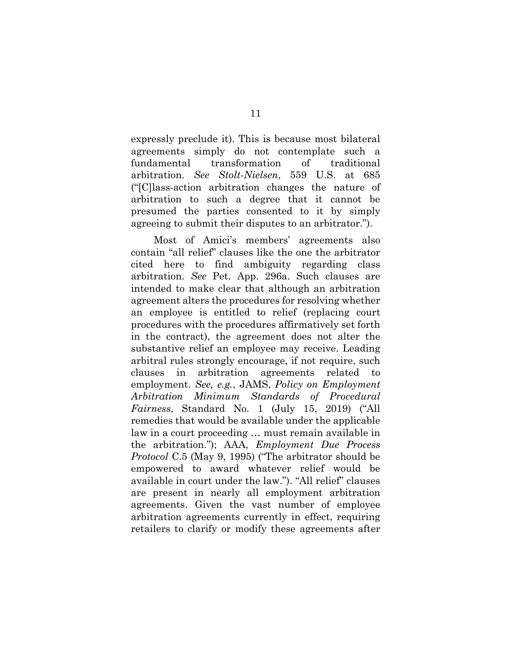expressly preclude it). This is because most bilateral agreements simply do not contemplate such a fundamental transformation of traditional arbitration. *See Stolt-Nielsen*, 559 U.S. at 685 ("[C]lass-action arbitration changes the nature of arbitration to such a degree that it cannot be presumed the parties consented to it by simply agreeing to submit their disputes to an arbitrator.").

Most of Amici's members' agreements also contain "all relief" clauses like the one the arbitrator cited here to find ambiguity regarding class arbitration. *See* Pet. App. 296a. Such clauses are intended to make clear that although an arbitration agreement alters the procedures for resolving whether an employee is entitled to relief (replacing court procedures with the procedures affirmatively set forth in the contract), the agreement does not alter the substantive relief an employee may receive. Leading arbitral rules strongly encourage, if not require, such clauses in arbitration agreements related to employment. *See, e.g.*, JAMS, *Policy on Employment Arbitration Minimum Standards of Procedural Fairness*, Standard No. 1 (July 15, 2019) ("All remedies that would be available under the applicable law in a court proceeding … must remain available in the arbitration."); AAA, *Employment Due Process Protocol* C.5 (May 9, 1995) ("The arbitrator should be empowered to award whatever relief would be available in court under the law."). "All relief" clauses are present in nearly all employment arbitration agreements. Given the vast number of employee arbitration agreements currently in effect, requiring retailers to clarify or modify these agreements after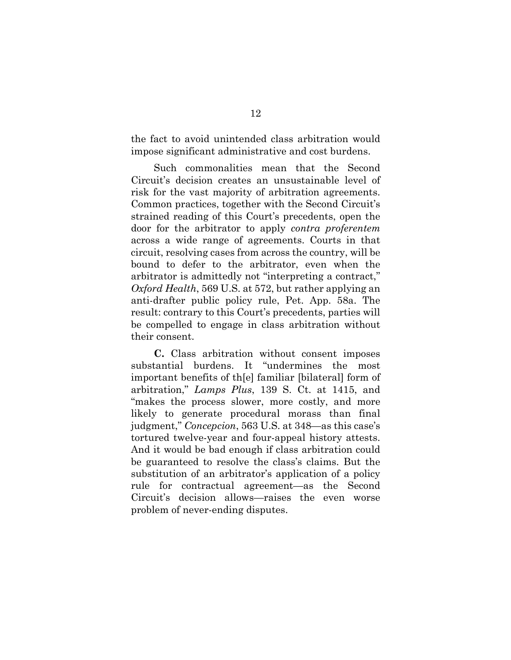the fact to avoid unintended class arbitration would impose significant administrative and cost burdens.

Such commonalities mean that the Second Circuit's decision creates an unsustainable level of risk for the vast majority of arbitration agreements. Common practices, together with the Second Circuit's strained reading of this Court's precedents, open the door for the arbitrator to apply *contra proferentem* across a wide range of agreements. Courts in that circuit, resolving cases from across the country, will be bound to defer to the arbitrator, even when the arbitrator is admittedly not "interpreting a contract," *Oxford Health*, 569 U.S. at 572, but rather applying an anti-drafter public policy rule, Pet. App. 58a. The result: contrary to this Court's precedents, parties will be compelled to engage in class arbitration without their consent.

**C.** Class arbitration without consent imposes substantial burdens. It "undermines the most important benefits of th[e] familiar [bilateral] form of arbitration," *Lamps Plus*, 139 S. Ct. at 1415, and "makes the process slower, more costly, and more likely to generate procedural morass than final judgment," *Concepcion*, 563 U.S. at 348—as this case's tortured twelve-year and four-appeal history attests. And it would be bad enough if class arbitration could be guaranteed to resolve the class's claims. But the substitution of an arbitrator's application of a policy rule for contractual agreement—as the Second Circuit's decision allows—raises the even worse problem of never-ending disputes.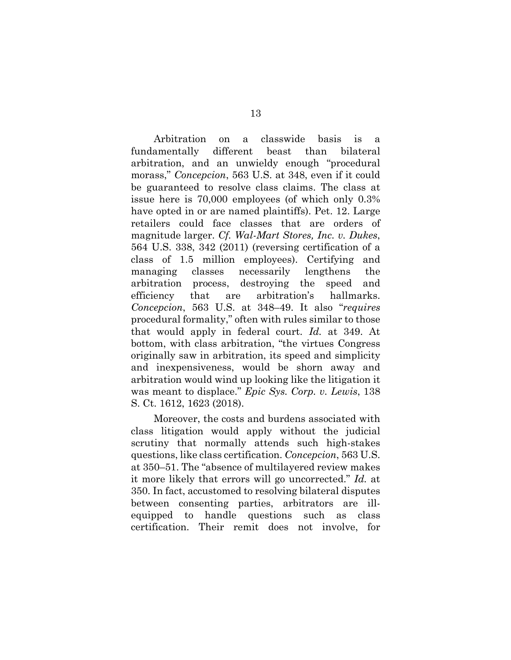Arbitration on a classwide basis is a fundamentally different beast than bilateral arbitration, and an unwieldy enough "procedural morass," *Concepcion*, 563 U.S. at 348, even if it could be guaranteed to resolve class claims. The class at issue here is 70,000 employees (of which only 0.3% have opted in or are named plaintiffs). Pet. 12. Large retailers could face classes that are orders of magnitude larger. *Cf. Wal-Mart Stores, Inc. v. Dukes*, 564 U.S. 338, 342 (2011) (reversing certification of a class of 1.5 million employees). Certifying and managing classes necessarily lengthens the arbitration process, destroying the speed and efficiency that are arbitration's hallmarks. *Concepcion*, 563 U.S. at 348–49. It also "*requires*  procedural formality," often with rules similar to those that would apply in federal court. *Id.* at 349. At bottom, with class arbitration, "the virtues Congress originally saw in arbitration, its speed and simplicity and inexpensiveness, would be shorn away and arbitration would wind up looking like the litigation it was meant to displace." *Epic Sys. Corp. v. Lewis*, 138 S. Ct. 1612, 1623 (2018).

Moreover, the costs and burdens associated with class litigation would apply without the judicial scrutiny that normally attends such high-stakes questions, like class certification. *Concepcion*, 563 U.S. at 350–51. The "absence of multilayered review makes it more likely that errors will go uncorrected." *Id.* at 350. In fact, accustomed to resolving bilateral disputes between consenting parties, arbitrators are illequipped to handle questions such as class certification. Their remit does not involve, for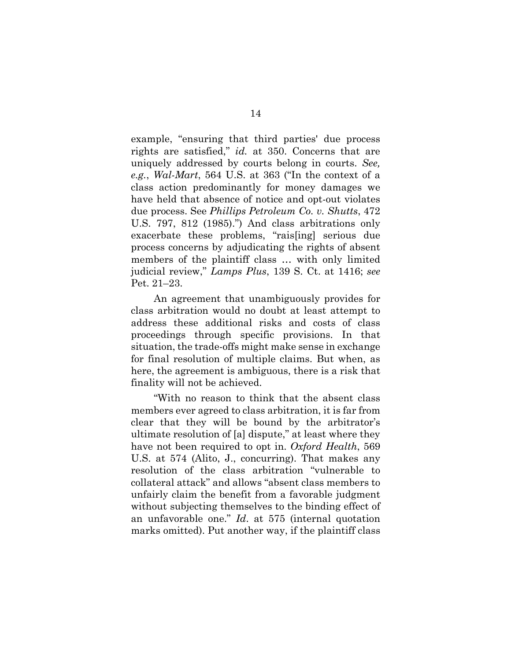example, "ensuring that third parties' due process rights are satisfied," *id.* at 350. Concerns that are uniquely addressed by courts belong in courts. *See, e.g.*, *Wal-Mart*, 564 U.S. at 363 ("In the context of a class action predominantly for money damages we have held that absence of notice and opt-out violates due process. See *Phillips Petroleum Co. v. Shutts*, 472 U.S. 797, 812 (1985).") And class arbitrations only exacerbate these problems, "rais[ing] serious due process concerns by adjudicating the rights of absent members of the plaintiff class … with only limited judicial review," *Lamps Plus*, 139 S. Ct. at 1416; *see*  Pet. 21–23.

An agreement that unambiguously provides for class arbitration would no doubt at least attempt to address these additional risks and costs of class proceedings through specific provisions. In that situation, the trade-offs might make sense in exchange for final resolution of multiple claims. But when, as here, the agreement is ambiguous, there is a risk that finality will not be achieved.

"With no reason to think that the absent class members ever agreed to class arbitration, it is far from clear that they will be bound by the arbitrator's ultimate resolution of [a] dispute," at least where they have not been required to opt in. *Oxford Health*, 569 U.S. at 574 (Alito, J., concurring). That makes any resolution of the class arbitration "vulnerable to collateral attack" and allows "absent class members to unfairly claim the benefit from a favorable judgment without subjecting themselves to the binding effect of an unfavorable one." *Id*. at 575 (internal quotation marks omitted). Put another way, if the plaintiff class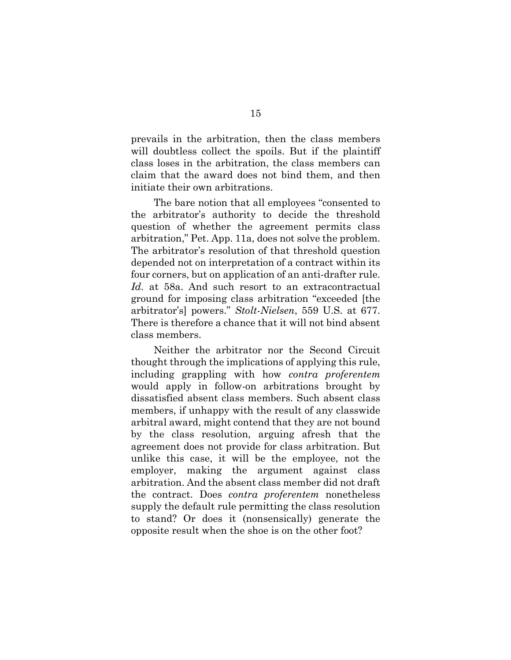prevails in the arbitration, then the class members will doubtless collect the spoils. But if the plaintiff class loses in the arbitration, the class members can claim that the award does not bind them, and then initiate their own arbitrations.

The bare notion that all employees "consented to the arbitrator's authority to decide the threshold question of whether the agreement permits class arbitration," Pet. App. 11a, does not solve the problem. The arbitrator's resolution of that threshold question depended not on interpretation of a contract within its four corners, but on application of an anti-drafter rule. *Id.* at 58a. And such resort to an extracontractual ground for imposing class arbitration "exceeded [the arbitrator's] powers." *Stolt-Nielsen*, 559 U.S. at 677. There is therefore a chance that it will not bind absent class members.

Neither the arbitrator nor the Second Circuit thought through the implications of applying this rule, including grappling with how *contra proferentem* would apply in follow-on arbitrations brought by dissatisfied absent class members. Such absent class members, if unhappy with the result of any classwide arbitral award, might contend that they are not bound by the class resolution, arguing afresh that the agreement does not provide for class arbitration. But unlike this case, it will be the employee, not the employer, making the argument against class arbitration. And the absent class member did not draft the contract. Does *contra proferentem* nonetheless supply the default rule permitting the class resolution to stand? Or does it (nonsensically) generate the opposite result when the shoe is on the other foot?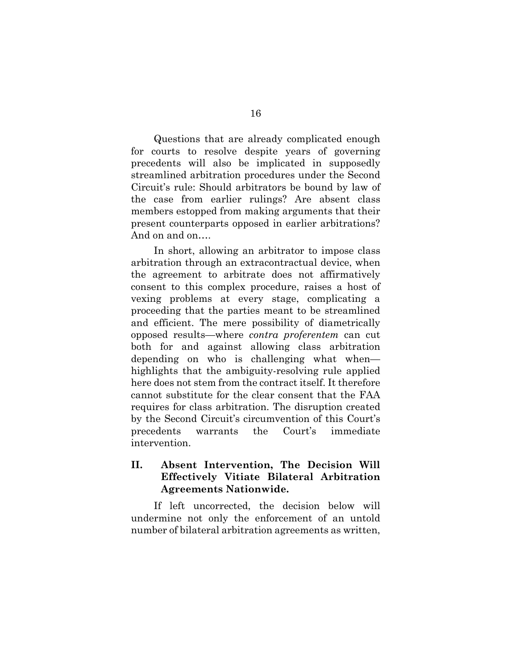Questions that are already complicated enough for courts to resolve despite years of governing precedents will also be implicated in supposedly streamlined arbitration procedures under the Second Circuit's rule: Should arbitrators be bound by law of the case from earlier rulings? Are absent class members estopped from making arguments that their present counterparts opposed in earlier arbitrations? And on and on….

In short, allowing an arbitrator to impose class arbitration through an extracontractual device, when the agreement to arbitrate does not affirmatively consent to this complex procedure, raises a host of vexing problems at every stage, complicating a proceeding that the parties meant to be streamlined and efficient. The mere possibility of diametrically opposed results—where *contra proferentem* can cut both for and against allowing class arbitration depending on who is challenging what when highlights that the ambiguity-resolving rule applied here does not stem from the contract itself. It therefore cannot substitute for the clear consent that the FAA requires for class arbitration. The disruption created by the Second Circuit's circumvention of this Court's precedents warrants the Court's immediate intervention.

### **II. Absent Intervention, The Decision Will Effectively Vitiate Bilateral Arbitration Agreements Nationwide.**

If left uncorrected, the decision below will undermine not only the enforcement of an untold number of bilateral arbitration agreements as written,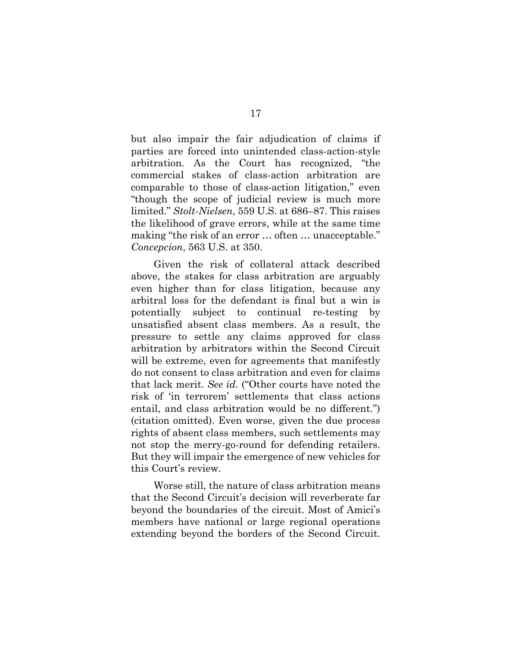but also impair the fair adjudication of claims if parties are forced into unintended class-action-style arbitration. As the Court has recognized, "the commercial stakes of class-action arbitration are comparable to those of class-action litigation," even "though the scope of judicial review is much more limited." *Stolt-Nielsen*, 559 U.S. at 686–87. This raises the likelihood of grave errors, while at the same time making "the risk of an error … often … unacceptable." *Concepcion*, 563 U.S. at 350.

Given the risk of collateral attack described above, the stakes for class arbitration are arguably even higher than for class litigation, because any arbitral loss for the defendant is final but a win is potentially subject to continual re-testing by unsatisfied absent class members. As a result, the pressure to settle any claims approved for class arbitration by arbitrators within the Second Circuit will be extreme, even for agreements that manifestly do not consent to class arbitration and even for claims that lack merit. *See id.* ("Other courts have noted the risk of 'in terrorem' settlements that class actions entail, and class arbitration would be no different.") (citation omitted). Even worse, given the due process rights of absent class members, such settlements may not stop the merry-go-round for defending retailers. But they will impair the emergence of new vehicles for this Court's review.

Worse still, the nature of class arbitration means that the Second Circuit's decision will reverberate far beyond the boundaries of the circuit. Most of Amici's members have national or large regional operations extending beyond the borders of the Second Circuit.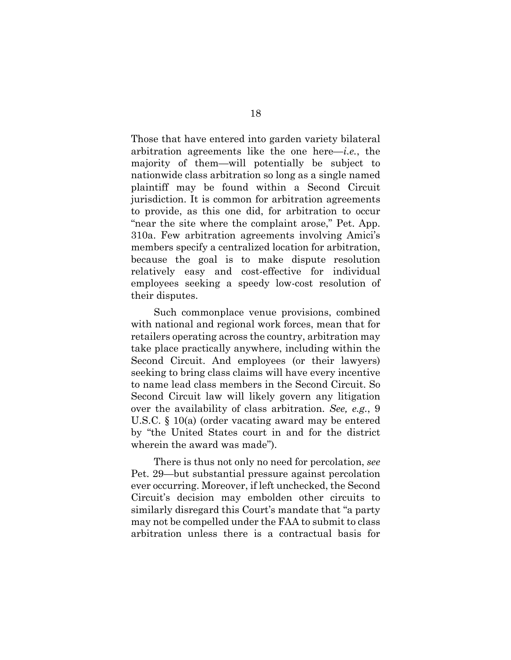Those that have entered into garden variety bilateral arbitration agreements like the one here—*i.e.*, the majority of them—will potentially be subject to nationwide class arbitration so long as a single named plaintiff may be found within a Second Circuit jurisdiction. It is common for arbitration agreements to provide, as this one did, for arbitration to occur "near the site where the complaint arose," Pet. App. 310a. Few arbitration agreements involving Amici's members specify a centralized location for arbitration, because the goal is to make dispute resolution relatively easy and cost-effective for individual employees seeking a speedy low-cost resolution of their disputes.

Such commonplace venue provisions, combined with national and regional work forces, mean that for retailers operating across the country, arbitration may take place practically anywhere, including within the Second Circuit. And employees (or their lawyers) seeking to bring class claims will have every incentive to name lead class members in the Second Circuit. So Second Circuit law will likely govern any litigation over the availability of class arbitration. *See, e.g.*, 9 U.S.C. § 10(a) (order vacating award may be entered by "the United States court in and for the district wherein the award was made").

There is thus not only no need for percolation, *see*  Pet. 29—but substantial pressure against percolation ever occurring. Moreover, if left unchecked, the Second Circuit's decision may embolden other circuits to similarly disregard this Court's mandate that "a party may not be compelled under the FAA to submit to class arbitration unless there is a contractual basis for